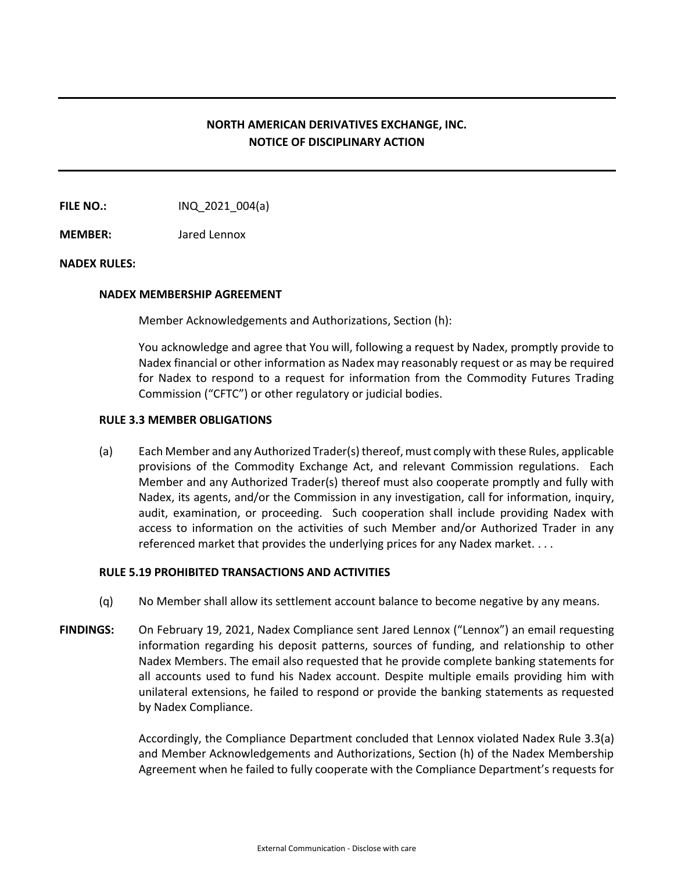# **NORTH AMERICAN DERIVATIVES EXCHANGE, INC. NOTICE OF DISCIPLINARY ACTION**

**FILE NO.:** INQ 2021 004(a)

**MEMBER:** Jared Lennox

### **NADEX RULES:**

### **NADEX MEMBERSHIP AGREEMENT**

Member Acknowledgements and Authorizations, Section (h):

You acknowledge and agree that You will, following a request by Nadex, promptly provide to Nadex financial or other information as Nadex may reasonably request or as may be required for Nadex to respond to a request for information from the Commodity Futures Trading Commission ("CFTC") or other regulatory or judicial bodies.

### **RULE 3.3 MEMBER OBLIGATIONS**

(a) Each Member and any Authorized Trader(s) thereof, must comply with these Rules, applicable provisions of the Commodity Exchange Act, and relevant Commission regulations. Each Member and any Authorized Trader(s) thereof must also cooperate promptly and fully with Nadex, its agents, and/or the Commission in any investigation, call for information, inquiry, audit, examination, or proceeding. Such cooperation shall include providing Nadex with access to information on the activities of such Member and/or Authorized Trader in any referenced market that provides the underlying prices for any Nadex market. . . .

### **RULE 5.19 PROHIBITED TRANSACTIONS AND ACTIVITIES**

- (q) No Member shall allow its settlement account balance to become negative by any means.
- **FINDINGS:** On February 19, 2021, Nadex Compliance sent Jared Lennox ("Lennox") an email requesting information regarding his deposit patterns, sources of funding, and relationship to other Nadex Members. The email also requested that he provide complete banking statements for all accounts used to fund his Nadex account. Despite multiple emails providing him with unilateral extensions, he failed to respond or provide the banking statements as requested by Nadex Compliance.

Accordingly, the Compliance Department concluded that Lennox violated Nadex Rule 3.3(a) and Member Acknowledgements and Authorizations, Section (h) of the Nadex Membership Agreement when he failed to fully cooperate with the Compliance Department's requests for